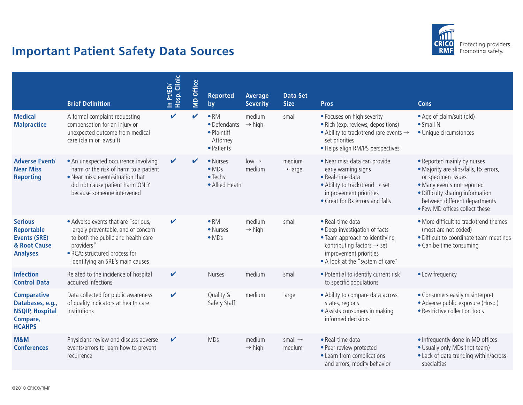

## **Important Patient Safety Data Sources**

|                                                                                               | <b>Brief Definition</b>                                                                                                                                                                             | In Pt/ED/<br>Hosp. Clinic | <b>MD Office</b> | <b>Reported</b><br>by                                                 | Average<br><b>Severity</b>   | <b>Data Set</b><br><b>Size</b> | <b>Pros</b>                                                                                                                                                                                 | <b>Cons</b>                                                                                                                                                                                                                      |
|-----------------------------------------------------------------------------------------------|-----------------------------------------------------------------------------------------------------------------------------------------------------------------------------------------------------|---------------------------|------------------|-----------------------------------------------------------------------|------------------------------|--------------------------------|---------------------------------------------------------------------------------------------------------------------------------------------------------------------------------------------|----------------------------------------------------------------------------------------------------------------------------------------------------------------------------------------------------------------------------------|
| <b>Medical</b><br><b>Malpractice</b>                                                          | A formal complaint requesting<br>compensation for an injury or<br>unexpected outcome from medical<br>care (claim or lawsuit)                                                                        | $\mathbf{v}$              | ✔                | $\bullet$ RM<br>• Defendants<br>• Plaintiff<br>Attorney<br>• Patients | medium<br>$\rightarrow$ high | small                          | • Focuses on high severity<br>• Rich (exp. reviews, depositions)<br>$\bullet$ Ability to track/trend rare events $\rightarrow$<br>set priorities<br>• Helps align RM/PS perspectives        | • Age of claim/suit (old)<br>$\bullet$ Small N<br>· Unique circumstances                                                                                                                                                         |
| <b>Adverse Event/</b><br><b>Near Miss</b><br><b>Reporting</b>                                 | • An unexpected occurrence involving<br>harm or the risk of harm to a patient<br>• Near miss: event/situation that<br>did not cause patient harm ONLY<br>because someone intervened                 | V                         |                  | • Nurses<br>$\bullet$ MDs<br>$\bullet$ Techs<br>• Allied Heath        | $low \rightarrow$<br>medium  | medium<br>$\rightarrow$ large  | . Near miss data can provide<br>early warning signs<br>• Real-time data<br>• Ability to track/trend $\rightarrow$ set<br>improvement priorities<br>• Great for Rx errors and falls          | • Reported mainly by nurses<br>• Majority are slips/falls, Rx errors,<br>or specimen issues<br>• Many events not reported<br>· Difficulty sharing information<br>between different departments<br>. Few MD offices collect these |
| <b>Serious</b><br>Reportable<br><b>Events (SRE)</b><br>& Root Cause<br><b>Analyses</b>        | • Adverse events that are "serious,<br>largely preventable, and of concern<br>to both the public and health care<br>providers"<br>· RCA: structured process for<br>identifying an SRE's main causes | V                         |                  | $\bullet$ RM<br>• Nurses<br>$\bullet$ MDs                             | medium<br>$\rightarrow$ high | small                          | • Real-time data<br>• Deep investigation of facts<br>• Team approach to identifying<br>contributing factors $\rightarrow$ set<br>improvement priorities<br>• A look at the "system of care" | • More difficult to track/trend themes<br>(most are not coded)<br>· Difficult to coordinate team meetings<br>• Can be time consuming                                                                                             |
| <b>Infection</b><br><b>Control Data</b>                                                       | Related to the incidence of hospital<br>acquired infections                                                                                                                                         | $\checkmark$              |                  | <b>Nurses</b>                                                         | medium                       | small                          | • Potential to identify current risk<br>to specific populations                                                                                                                             | • Low frequency                                                                                                                                                                                                                  |
| <b>Comparative</b><br>Databases, e.g.,<br><b>NSQIP, Hospital</b><br>Compare,<br><b>HCAHPS</b> | Data collected for public awareness<br>of quality indicators at health care<br>institutions                                                                                                         | V                         |                  | Quality &<br>Safety Staff                                             | medium                       | large                          | • Ability to compare data across<br>states, regions<br>• Assists consumers in making<br>informed decisions                                                                                  | • Consumers easily misinterpret<br>· Adverse public exposure (Hosp.)<br>• Restrictive collection tools                                                                                                                           |
| M&M<br><b>Conferences</b>                                                                     | Physicians review and discuss adverse<br>events/errors to learn how to prevent<br>recurrence                                                                                                        | V                         |                  | <b>MDs</b>                                                            | medium<br>$\rightarrow$ high | small $\rightarrow$<br>medium  | • Real-time data<br>· Peer review protected<br>• Learn from complications<br>and errors; modify behavior                                                                                    | • Infrequently done in MD offices<br>• Usually only MDs (not team)<br>· Lack of data trending within/across<br>specialties                                                                                                       |